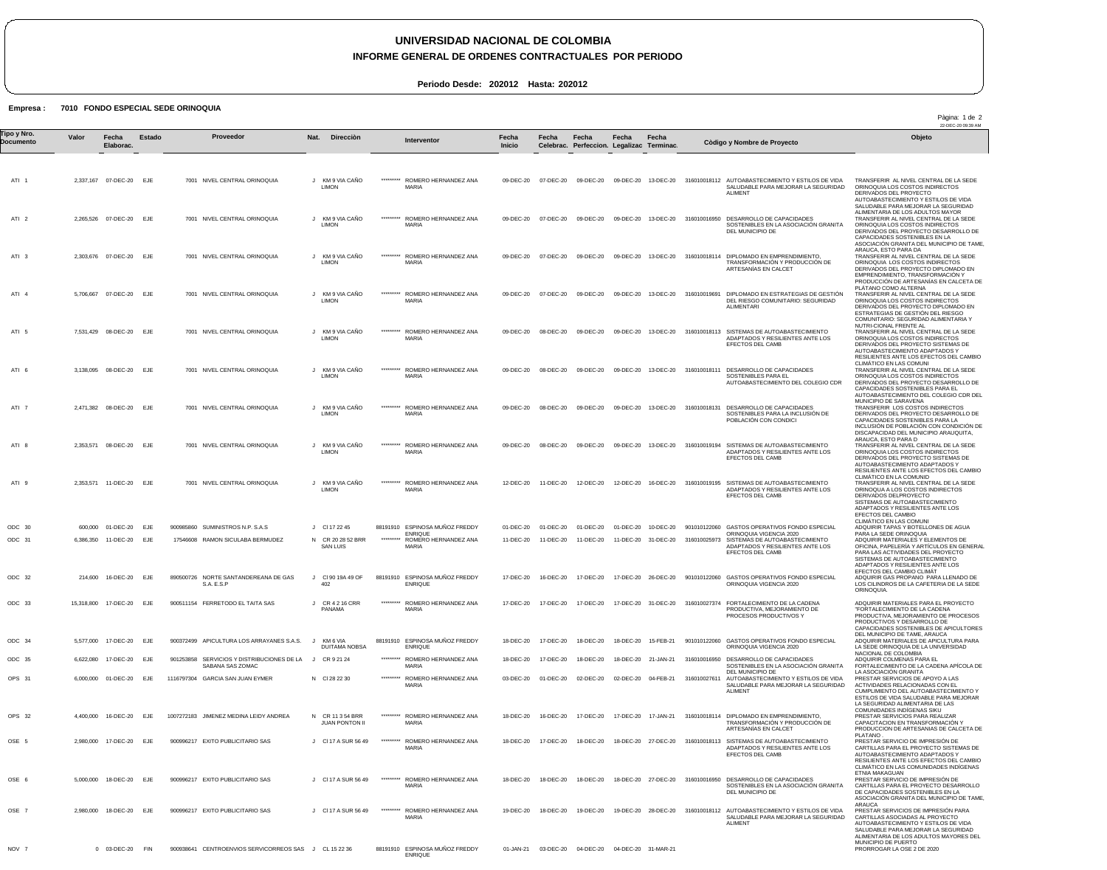## **UNIVERSIDAD NACIONAL DE COLOMBIA**

## **INFORME GENERAL DE ORDENES CONTRACTUALES POR PERIODO**

Pàgina: 1 de 2

**Periodo Desde: 202012 Hasta: 202012**

## **Empresa : 7010 FONDO ESPECIAL SEDE ORINOQUIA**

22-DEC-20 09:39 AM ATI 1 ATI 2 ATI 3 ATI 4 ATI 5 ATI 6 ATI 7 ATI 8 ATI 9 ODC 30 ODC 31 ODC 32 ODC 33 ODC 34 ODC 35 OPS 31 OPS 32 OSE 5 OSE 6 OSE 7 NOV 7 2,337,167 07-DEC-20 EJE 2,265,526 07-DEC-20 EJE 2,303,676 07-DEC-20 EJE 5,706,667 07-DEC-20 EJE 7,531,429 08-DEC-20 EJE 3,138,095 2,471,382 08-DEC-20 EJE 2,353,571 08-DEC-20 EJE 2,353,571 11-DEC-20 EJE 600,000 01-DEC-20 6,386,350 11-DEC-20 214,600 15,318,800 5,577,000 6,622,080 6,000,000 01-DEC-20 EJE 4,400,000 2,980,000 5,000,000 2,980,000 0 03-DEC-20 FIN **Valor** 08-DEC-20 EJE 16-DEC-20 17-DEC-20 17-DEC-20 17-DEC-20 16-DEC-20 17-DEC-20 18-DEC-20 18-DEC-20 **Fecha Elaborac.** EJE EJE EJE EJE EJE EJE EJE EJE EJE EJE **Estado** 7001 NIVEL CENTRAL ORINOQUIA 7001 NIVEL CENTRAL ORINOQUIA 7001 NIVEL CENTRAL ORINOQUIA 7001 NIVEL CENTRAL ORINOQUIA 7001 NIVEL CENTRAL ORINOQUIA 7001 NIVEL CENTRAL ORINOQUIA 7001 NIVEL CENTRAL ORINOQUIA 7001 NIVEL CENTRAL ORINOQUIA 7001 NIVEL CENTRAL ORINOQUIA 900985860 SUMINISTROS N.P. S.A.S 17546608 RAMON SICULABA BERMUDEZ 890500726 NORTE SANTANDEREANA DE GAS 900511154 FERRETODO EL TAITA SAS 900372499 APICULTURA LOS ARRAYANES S.A.S. 901253858 SERVICIOS Y DISTRIBUCIONES DE LA 1116797304 GARCIA SAN JUAN EYMER 1007272183 JIMENEZ MEDINA LEIDY ANDREA 900996217 EXITO PUBLICITARIO SAS 900996217 EXITO PUBLICITARIO SAS 900996217 EXITO PUBLICITARIO SAS 900938641 CENTROENVIOS SERVICORREOS SAS J CL 15 22 36 SAFSP SABANA SAS ZOMAC J KM 9 VIA CAÑO J KM 9 VIA CAÑO J KM 9 VIA CAÑO J KM 9 VIA CAÑO J KM 9 VIA CAÑO J KM 9 VIA CAÑO J KM 9 VIA CAÑO LIMON J KM 9 VIA CAÑO J KM 9 VIA CAÑO J Cl 17 22 45 N CR 20 28 52 BRR J Cl 90 19A 49 OF J CR 4 2 16 CRR PANAMA J J N Cl 28 22 30 N CR 11 3 54 BRR J Cl 17 A SUR 56 49 J Cl 17 A SUR 56 49 J Cl 17 A SUR 56 49 **Nat.** LIMON LIMON LIMON LIMON LIMON LIMON LIMON **LIMON** SAN LUIS 402 KM 6 VIA DUITAMA NOBSA CR 9 21 24 **JUAN PONTON I Direcciòn** \*\*\*\*\*\*\*\*\* \*\*\*\*\*\*\*\*\* \*\*\*\*\*\*\*\*\* \*\*\*\*\*\*\*\*\* \*\*\*\*\*\*\*\*\* \*\*\*\*\*\*\*\*\* \*\*\*\*\*\*\*\*\* \*\*\*\*\*\*\*\*\* \*\*\*\*\*\*\*\*\* 88191910 ESPINOSA MUÑOZ FREDDY \*\*\*\*\*\*\*\*\* 88191910 ESPINOSA MUÑOZ FREDDY \*\*\*\*\*\*\*\*\* 88191910 ESPINOSA MUÑOZ FREDDY ENRIQUE \*\*\*\*\*\*\*\*\* \*\*\*\*\*\*\*\*\* \*\*\*\*\*\*\*\*\* \*\*\*\*\*\*\*\*\* \*\*\*\*\*\*\*\*\* \*\*\*\*\*\*\*\*\* 88191910 ESPINOSA MUÑOZ FREDDY ROMERO HERNANDEZ ANA MARIA ROMERO HERNANDEZ ANA **MARIA** ROMERO HERNANDEZ ANA **MARIA** ROMERO HERNANDEZ ANA MARIA ROMERO HERNANDEZ ANA MARIA ROMERO HERNANDEZ ANA MARIA ROMERO HERNANDEZ ANA MARIA ROMERO HERNANDEZ ANA **MARIA** ROMERO HERNANDEZ ANA MARIA ENRIQUE ROMERO HERNANDEZ ANA MARIA **ENRIQUE** ROMERO HERNANDEZ ANA MARIA ROMERO HERNANDEZ ANA MARIA ROMERO HERNANDEZ ANA MARIA ROMERO HERNANDEZ ANA MARIA ROMERO HERNANDEZ ANA **MARIA** ROMERO HERNANDEZ ANA MARIA ROMERO HERNANDEZ ANA **MARIA** 09-DEC-20 09-DEC-20 09-DEC-20 09-DEC-20 09-DEC-20 09-DEC-20 09-DEC-20 09-DEC-20 12-DEC-20 01-DEC-20 11-DEC-20 17-DEC-20 17-DEC-20 18-DEC-20 18-DEC-20 03-DEC-20 18-DEC-20 18-DEC-20 18-DEC-20 19-DEC-20 01-JAN-21 03-DEC-20 04-DEC-20 04-DEC-20 31-MAR-21 **Fecha Inicio** 07-DEC-20 09-DEC-20 09-DEC-20 13-DEC-20 316010018112 AUTOABASTECIMIENTO Y ESTILOS DE VIDA 07-DEC-20 07-DEC-20 09-DEC-20 09-DEC-20 13-DEC-20 316010018114 DIPLOMADO EN EMPRENDIMIENTO, 07-DEC-20 09-DEC-20 09-DEC-20 13-DEC-20 316010019691 DIPLOMADO EN ESTRATEGIAS DE GESTIÓN DEL RIESGO COMUNITARIO: SEGURIDAD 08-DEC-20 09-DEC-20 09-DEC-20 13-DEC-20 316010018113 SISTEMAS DE AUTOABASTECIMIENTO 08-DEC-20 08-DEC-20 09-DEC-20 09-DEC-20 13-DEC-20 316010018131 DESARROLLO DE CAPACIDADES SOSTENIBLES PARA LA INCLUSIÓN DE 08-DEC-20 09-DEC-20 09-DEC-20 13-DEC-20 316010019194 SISTEMAS DE AUTOABASTECIMIENTO 11-DEC-20 12-DEC-20 12-DEC-20 16-DEC-20 316010019195 SISTEMAS DE AUTOABASTECIMIENTO 01-DEC-20 11-DEC-20 16-DEC-20 17-DEC-20 17-DEC-20 17-DEC-20 01-DEC-20 16-DEC-20 17-DEC-20 18-DEC-20 18-DEC-20 **Fecha Celebrac.** 09-DEC-20 09-DEC-20 13-DEC-20 316010016950 DESARROLLO DE CAPACIDADES 09-DEC-20 01-DEC-20 11-DEC-20 17-DEC-20 17-DEC-20 18-DEC-20 18-DEC-20 02-DEC-20 17-DEC-20 18-DEC-20 18-DEC-20 19-DEC-20 **Fecha Perfeccion. Legalizac Terminac.** 09-DEC-20 13-DEC-20 316010018111 DESARROLLO DE CAPACIDADES SOSTENIBLES PARA EL 01-DEC-20 10-DEC-20 11-DEC-20 31-DEC-20 17-DEC-20 26-DEC-20 17-DEC-20 31-DEC-20 18-DEC-20 15-FEB-21 18-DEC-20 21-JAN-21 02-DEC-20 04-FEB-21 17-DEC-20 17-JAN-21 18-DEC-20 27-DEC-20 18-DEC-20 27-DEC-20 19-DEC-20 28-DEC-20 **Fecha Fecha** 901010122060 316010025973 901010122060 GASTOS OPERATIVOS FONDO ESPECIAL 316010027374 901010122060 GASTOS OPERATIVOS FONDO ESPECIAL ORINOQUIA VIGENCIA 2020 316010016950 DESARROLLO DE CAPACIDADES 316010027611 316010018114 DIPLOMADO EN EMPRENDIMIENTO, TRANSFORMACIÓN Y PRODUCCIÓN DE 316010018113 SISTEMAS DE AUTOABASTECIMIENTO 316010016950 DESARROLLO DE CAPACIDADES SOSTENIBLES EN LA ASOCIACIÓN GRANITA DEL MUNICIPIO DE 316010018112 ALITOARASTECIMIENTO Y ESTILOS DE VIDA SALUDABLE PARA MEJORAR LA SEGURIDAD ALIMENT SOSTENIBLES EN LA ASOCIACIÓN GRANITA DEL MUNICIPIO DE TRANSFORMACIÓN Y PRODUCCIÓN DE ARTESANÍAS EN CALCET ALIMENTARI ADAPTADOS Y RESILIENTES ANTE LOS EFECTOS DEL CAMB AUTOABASTECIMIENTO DEL COLEGIO CDR POBLACIÓN CON CONDICI ADAPTADOS Y RESILIENTES ANTE LOS EFECTOS DEL CAMB ADAPTADOS Y RESILIENTES ANTE LOS EFECTOS DEL CAMB GASTOS OPERATIVOS FONDO ESPECIAL ORINOQUIA VIGENCIA 2020 SISTEMAS DE AUTOABASTECIMIENTO ADAPTADOS Y RESILIENTES ANTE LOS EFECTOS DEL CAMB ORINOQUIA VIGENCIA 2020 FORTALECIMIENTO DE LA CADENA PRODUCTIVA, MEJORAMIENTO DE PROCESOS PRODUCTIVOS Y SOSTENIBLES EN LA ASOCIACIÓN GRANITA<br>DEL MUNICIPIO DE<br>AUTOABASTECIMIENTO Y ESTILOS DE VIDA<br>SALUDABLE PARA MEJORAR LA SEGURIDAD ALIMENT ARTESANÍAS EN CALCET ADAPTADOS Y RESILIENTES ANTE LOS EFECTOS DEL CAMB AUTOABASTECIMIENTO Y ESTILOS DE VIDA SALUDABLE PARA MEJORAR LA SEGURIDAD ALIMENT TRANSFERIR AL NIVEL CENTRAL DE LA SEDE ORINOQUIA LOS COSTOS INDIRECTOS DERIVADOS DEL PROYECTO AUTOABASTECIMIENTO Y ESTILOS DE VIDA SALUDABLE PARA MEJORAR LA SEGURIDAD ALIMENTARIA DE LOS ADULTOS MAYOR TRANSFERIR AL NIVEL CENTRAL DE LA SEDE ORINOQUIA LOS COSTOS INDIRECTOS<br>DERIVADOS DEL PROYECTO DESARROLLO DE<br>CAPACIDOS DEL PROYECTO DESARROLLO<br>ASOCIACIÓN GRANITA DEL MUNICIPIO DE TAME,<br>ARAUCA, ESTO PARA DA<br>TRANSFERIR AL NIVEL CENTRAL DE LA SEDE<br>TRANSFERIR AL NIV ORINOQUIA LOS COSTOS INDIRECTOS<br>DERIVADOS DEL PROYECTO DIPLOMADO EN<br>EMPRENDIMIENTO, TRANSFORMACIÓN Y<br>PRODUCCIÓN DE ARTESANÍAS EN CALCETA DE<br>PLÁTANO COMO ALTERNA TRANSFERIR AL NIVEL CENTRAL DE LA SEDE<br>ORINOQUIA LOS COSTOS INDIRECTOS<br>DERIVADOS DEL PROYECTO DIPLOMADO EN<br>ESTRATEGIAS DE GESTIÓN DEL RIESGO<br>COMUNITARIO: SEGURIDAD ALIMENTARIA Y<br>NUTRI-CIONAL FRENTE AL<br>TRANSFERIR AL NIVEL C TRANSFERIR AL NIVEL CENTRAL DE LA SEDE<br>ORINOQUIA LOS COSTOS INDIRECTOS<br>DERIVADOS DEL PROYECTO DESARROLLO DE<br>CAPACIDADES SOSTENIBLES PARA EL<br>AUTOABASTECIMIENTO DEL COLEGIO CDR DEL MUNICIPIO DE SARAVENA<br>TRANSFERIR LOS COSTOS INDIRECTOS<br>DERIVADOS DEL PROYECTO DESARROLLO DE<br>CAPACIDADES SOSTENIBLES PARA LA<br>INCLUSIÓN DE POBLACIÓN CON CONDICIÓN DE<br>DISCAPACIDAD DEL MUNICIPIO ARAUQUITA, ARAUCA, ESTO PARA D TRANSFERIR AL NIVEL CENTRAL DE LA SEDE ORINOQUIA LOS COSTOS INDIRECTOS<br>DERIVADOS DEL PROYECTO SISTEMAS DE<br>AUTOABASTECIMIENTO ADAPTADOS Y<br>RESILIENTES ANTE LOS EFECTOS DEL CAMBIO CLIMÁTICO EN LA COMUNID TRANSFERIR AL NIVEL CENTRAL DE LA SEDE ORINOQUA A LOS COSTOS INDIRECTOS DERIVADOS DELPROYECTO SISTEMAS DE AUTOABASTECIMIENTO ADAPTADOS Y RESILIENTES ANTE LOS EFECTOS DEL CAMBIO CLIMÁTICO EN LAS COMUNI ADQUIRIR TAPAS Y BOTELLONES DE AGUA PARA LA SEDE ORINOQUIA ADQUIRIR MATERIALES Y ELEMENTOS DE OFICINA, PAPELERÍA Y ARTÍCULOS EN GENERAL PARA LAS ACTIVIDADES DEL PROYECTO SISTEMAS DE AUTOABASTECIMIENTO ADAPTADOS Y RESILIENTES ANTE LOS EFECTOS DEL CAMBIO CLIMÁT ADQUIRIR GAS PROPANO PARA LLENADO DE LOS CILINDROS DE LA CAFETERIA DE LA SEDE ORINOOLIJA ADQUIRIR MATERIALES PARA EL PROYECTO "FORTALECIMIENTO DE LA CADENA PRODUCTIVA, MEJORAMIENTO DE PROCESOS PRODUCTIVOS Y DESARROLLO DE CAPACIDADES SOSTENIBLES DE APICULTORES DEL MUNICIPIO DE TAME, ARAUCA ADQUIRIR MATERIALES DE APICULTURA PARA LA SEDE ORINOQUIA DE LA UNIVERSIDAD NACIONAL DE COLOMBIA ADQUIRIR COLMENAS PARA EL<br>FORTALECIMIENTO DE LA CADENA APÍCOLA DE<br>DA ASOCIACIÓN GRANITA<br>PRESTAR SERVICIOS DE APOYO A LAS<br>ACTIVIDADES RELACIONADAS CON EL<br>CUMPLIMIENTO DEL AUTOABASTECIMIENTO Y ESTILOS DE VIDA SALUDABLE PARA MEJORAR LA SEGURIDAD ALIMENTARIA DE LAS COMUNIDADES INDÍGENAS SIKU PRESTAR SERVICIOS PARA REALIZAR CAPACITACION EN TRANSFORMACIÓN Y PRODUCCION DE ARTESANIAS DE CALCETA DE PLATANO<br>PRESTAR SERVICIO DE IMPRESIÓN DE<br>CARTILLAS PARA EL PROYECTO SISTEMAS DE<br>AUTOABASTECIMIENTO ADAPTADOS Y<br>RESILIENTES ANTE LOS EFECTOS DEL CAMBIO CLIMÁTICO EN LAS COMUNIDADES INDÍGENAS ETNIA MAKAGUAN<br>PRESTAR SERVICIO DE IMPRESIÓN DE<br>CARTILLAS PARA EL PROYECTO DESARROLLO<br>DE CAPACIDADES SOSTENIBLES EN LA ASOCIACIÓN GRANITA DEL MUNICIPIO DE TAME, ARAUCA<br>PRESTAR SERVICIOS DE IMPRESIÓN PARA<br>CARTILLAS ASOCIADAS AL PROYECTO<br>AUTOABASTECIMIENTO Y ESTILOS DE VIDA<br>SALUDABLE PARA MEJORAR LA SEGURIDAD ALIMENTARIA DE LOS ADULTOS MAYORES DEL MUNICIPIO DE PUERTO<br>PRORROGAR LA OSE 2 DE 2020 Tipo y Nro.<br>"Province a Valor Fecha Estado Proveedor Nat. Direcciòn Interventor Fecha Fecha Fecha Fecha Computer a variante i a computator a variante del Dijeto **Documento Proveedor Interventor Còdigo y Nombre de Proyecto**

ENRIQUE